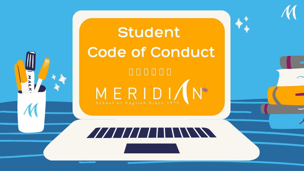# Student Code of Conduct

# $M_{\text{school of English, Since 1979}}$

 $\boldsymbol{\mathcal{S}}$ 

# 

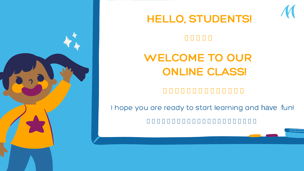



## WELCOME TO OUR ONLINE CLASS!

### I hope you are ready to start learning and have fun!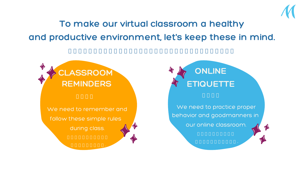## To make our virtual classroom a healthy and productive environment, let's keep these in mind.

## ONLINE **ETIQUETTE**

We need to practice proper behavior and goodmanners in our online classroom.





We need to remember and follow these simple rules during class.

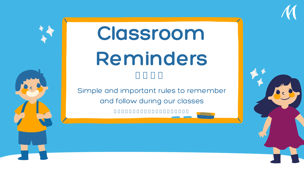

Simple and important rules to remember and follow during our classes



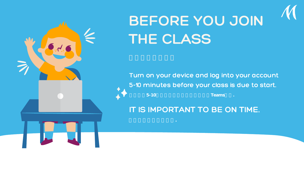#### Turn on your device and log into your account 5-10 minutes before your class is due to start.



# BEFORE YOU JOIN THE CLASS

在**10分钟打开你的电影上,我们的电影上**的是,我们的电影上,我们的电影上,我们的电影上,我们的电影上,我们的电影上,我们的电影上,我们的电影上,我们的电影上,

## IT IS IMPORTANT TO BE ON TIME.

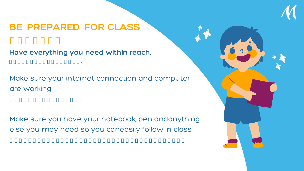Make sure your internet connection and computer are working.

确保你的网络链接和电脑正常工作.

Make sure you have your notebook, pen andanything else you may need so you caneasily follow in class.

确保你准备好笔记本、笔和任何你可能需要的东西,这样你就可以在课堂上专注地学习.





## BE PREPARED FOR CLASS

Have everything you need within reach.

**把你需要的东西都放在伸手可及的地方.**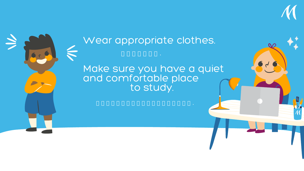



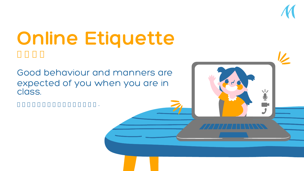# Online Etiquette

Good behaviour and manners are expected of you when you are in class.

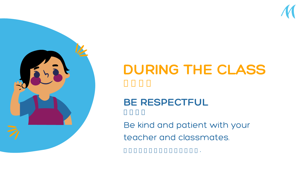

## DURING THE CLASS

## BE RESPECTFUL

Be kind and patient with your teacher and classmates.



对你的老师和同学保持友善和耐心.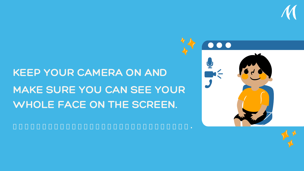## KEEP YOUR CAMERA ON AND MAKE SURE YOU CAN SEE YOUR WHOLE FACE ON THE SCREEN.





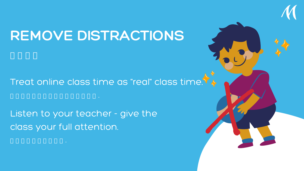## REMOVE DISTRACTIONS

Treat online class time as "real" class time.

Listen to your teacher - give the class your full attention.

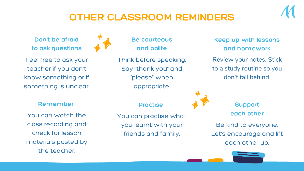## OTHER CLASSROOM REMINDERS

Don't be afraid to ask questions



Feel free to ask your teacher if you don't know something or if something is unclear. Be courteous and polite

#### **Support** each other

Think before speaking. Say "thank you" and "please" when appropriate.

You can practise what you learnt with your friends and family.





## Keep up with lessons and homework Review your notes. Stick to a study routine so you

don't fall behind.



Be kind to everyone. Let's encourage and lift each other up.

#### Practise

#### Remember

You can watch the class recording and check for lesson materials posted by the teacher.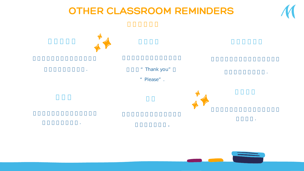## OTHER CLASSROOM REMINDERS



随时向你的老师提问.

师发布的教学材料.

" Thank you"

"Please".



习你学习的内容.

以保持你的学习进度.



互相帮助.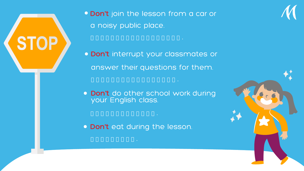Don't join the lesson from a car or a noisy public place.

**. Don't** interrupt your classmates or answer their questions for them.

**. Don't** do other school work during your English class.

Don't eat during the lesson.

S'





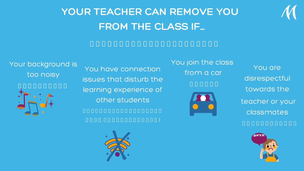## YOUR TEACHER CAN REMOVE YOU FROM THE CLASS IF...

## Your background is too noisy



## You join the class from a car



You are disrespectful towards the teacher or your classmates



You have connection issues that disturb the learning experience of other students



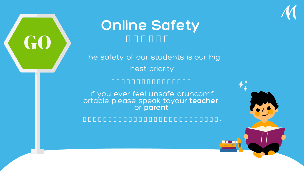# **GOO**

## Online Safety

The safety of our students is our hig hest priority

If you ever feel unsafe oruncomf ortable please speak toyour teacher or parent.